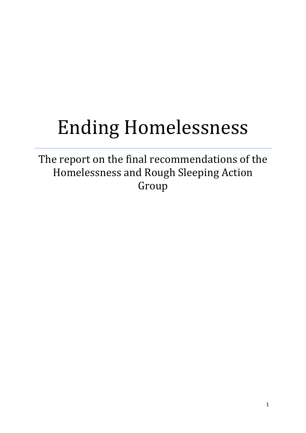# Ending Homelessness

The report on the final recommendations of the Homelessness and Rough Sleeping Action Group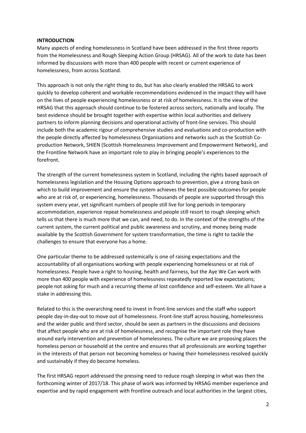#### **INTRODUCTION**

Many aspects of ending homelessness in Scotland have been addressed in the first three reports from the Homelessness and Rough Sleeping Action Group (HRSAG). All of the work to date has been informed by discussions with more than 400 people with recent or current experience of homelessness, from across Scotland.

This approach is not only the right thing to do, but has also clearly enabled the HRSAG to work quickly to develop coherent and workable recommendations evidenced in the impact they will have on the lives of people experiencing homelessness or at risk of homelessness. It is the view of the HRSAG that this approach should continue to be fostered across sectors, nationally and locally. The best evidence should be brought together with expertise within local authorities and delivery partners to inform planning decisions and operational activity of front-line services. This should include both the academic rigour of comprehensive studies and evaluations and co-production with the people directly affected by homelessness Organisations and networks such as the Scottish Coproduction Network, SHIEN (Scottish Homelessness Improvement and Empowerment Network), and the Frontline Network have an important role to play in bringing people's experiences to the forefront.

The strength of the current homelessness system in Scotland, including the rights based approach of homelessness legislation and the Housing Options approach to prevention, give a strong basis on which to build improvement and ensure the system achieves the best possible outcomes for people who are at risk of, or experiencing, homelessness. Thousands of people are supported through this system every year, yet significant numbers of people still live for long periods in temporary accommodation, experience repeat homelessness and people still resort to rough sleeping which tells us that there is much more that we can, and need, to do. In the context of the strengths of the current system, the current political and public awareness and scrutiny, and money being made available by the Scottish Government for system transformation, the time is right to tackle the challenges to ensure that everyone has a home.

One particular theme to be addressed systemically is one of raising expectations and the accountability of all organisations working with people experiencing homelessness or at risk of homelessness. People have a right to housing, health and fairness, but the Aye We Can work with more than 400 people with experience of homelessness repeatedly reported low expectations; people not asking for much and a recurring theme of lost confidence and self-esteem. We all have a stake in addressing this.

Related to this is the overarching need to invest in front-line services and the staff who support people day-in-day-out to move out of homelessness. Front-line staff across housing, homelessness and the wider public and third sector, should be seen as partners in the discussions and decisions that affect people who are at risk of homelessness, and recognise the important role they have around early intervention and prevention of homelessness. The culture we are proposing places the homeless person or household at the centre and ensures that all professionals are working together in the interests of that person not becoming homeless or having their homelessness resolved quickly and sustainably if they do become homeless.

The first HRSAG report addressed the pressing need to reduce rough sleeping in what was then the forthcoming winter of 2017/18. This phase of work was informed by HRSAG member experience and expertise and by rapid engagement with frontline outreach and local authorities in the largest cities,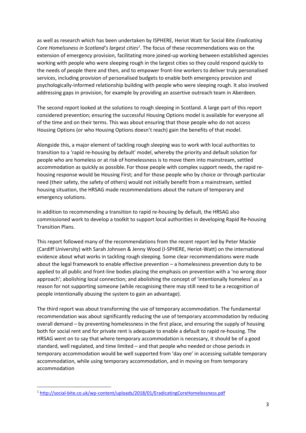as well as research which has been undertaken by ISPHERE, Heriot Watt for Social Bite *Eradicating*  Core Homelssness in Scotland's largest cities<sup>1</sup>. The focus of these recommendations was on the extension of emergency provision, facilitating more joined-up working between established agencies working with people who were sleeping rough in the largest cities so they could respond quickly to the needs of people there and then, and to empower front-line workers to deliver truly personalised services, including provision of personalised budgets to enable both emergency provision and psychologically-informed relationship building with people who were sleeping rough. It also involved addressing gaps in provision, for example by providing an assertive outreach team in Aberdeen.

The second report looked at the solutions to rough sleeping in Scotland. A large part of this report considered prevention; ensuring the successful Housing Options model is available for everyone all of the time and on their terms. This was about ensuring that those people who do not access Housing Options (or who Housing Options doesn't reach) gain the benefits of that model.

Alongside this, a major element of tackling rough sleeping was to work with local authorities to transition to a 'rapid re-housing by default' model, whereby the priority and default solution for people who are homeless or at risk of homelessness is to move them into mainstream, settled accommodation as quickly as possible. For those people with complex support needs, the rapid rehousing response would be Housing First; and for those people who by choice or through particular need (their safety, the safety of others) would not initially benefit from a mainstream, settled housing situation, the HRSAG made recommendations about the nature of temporary and emergency solutions.

In addition to recommending a transition to rapid re-housing by default, the HRSAG also commissioned work to develop a toolkit to support local authorities in developing Rapid Re-housing Transition Plans.

This report followed many of the recommendations from the recent report led by Peter Mackie (Cardiff University) with Sarah Johnsen & Jenny Wood (I-SPHERE, Heriot-Watt) on the international evidence about what works in tackling rough sleeping. Some clear recommendations were made about the legal framework to enable effective prevention – a homelessness prevention duty to be applied to all public and front-line bodies placing the emphasis on prevention with a 'no wrong door approach'; abolishing local connection; and abolishing the concept of 'intentionally homeless' as a reason for not supporting someone (while recognising there may still need to be a recognition of people intentionally abusing the system to gain an advantage).

The third report was about transforming the use of temporary accommodation. The fundamental recommendation was about significantly reducing the use of temporary accommodation by reducing overall demand – by preventing homelessness in the first place, and ensuring the supply of housing both for social rent and for private rent is adequate to enable a default to rapid re-housing. The HRSAG went on to say that where temporary accommodation is necessary, it should be of a good standard, well regulated, and time limited – and that people who needed or chose periods in temporary accommodation would be well supported from 'day one' in accessing suitable temporary accommodation, while using temporary accommodation, and in moving on from temporary accommodation

**.** 

<sup>1</sup> <http://social-bite.co.uk/wp-content/uploads/2018/01/EradicatingCoreHomelessness.pdf>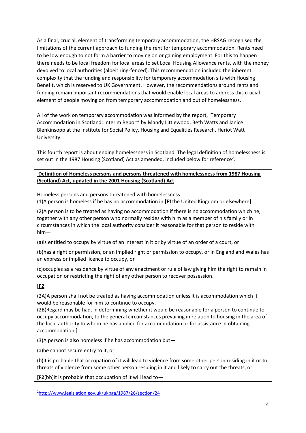As a final, crucial, element of transforming temporary accommodation, the HRSAG recognised the limitations of the current approach to funding the rent for temporary accommodation. Rents need to be low enough to not form a barrier to moving on or gaining employment. For this to happen there needs to be local freedom for local areas to set Local Housing Allowance rents, with the money devolved to local authorities (albeit ring-fenced). This recommendation included the inherent complexity that the funding and responsibility for temporary accommodation sits with Housing Benefit, which is reserved to UK Government. However, the recommendations around rents and funding remain important recommendations that would enable local areas to address this crucial element of people moving on from temporary accommodation and out of homelessness.

All of the work on temporary accommodation was informed by the report, 'Temporary Accommodation in Scotland: Interim Report' by Mandy Littlewood, [Beth Watts](https://researchportal.hw.ac.uk/en/persons/beth-watts) and [Janice](https://researchportal.hw.ac.uk/en/persons/janice-blenkinsopp)  [Blenkinsopp](https://researchportal.hw.ac.uk/en/persons/janice-blenkinsopp) at the [Institute for Social Policy, Housing and Equalities Research,](https://researchportal.hw.ac.uk/en/organisations/institute-for-social-policy-housing-and-equalities-research) Heriot Watt University.

This fourth report is about ending homelessness in Scotland. The legal definition of homelessness is set out in the 1987 Housing (Scotland) Act as amended, included below for reference<sup>2</sup>.

## **Definition of Homeless persons and persons threatened with homelessness from 1987 Housing (Scotland) Act, updated in the 2001 Housing (Scotland) Act**

Homeless persons and persons threatened with homelessness. (1)A person is homeless if he has no accommodation in **[\[F1](https://www.legislation.gov.uk/ukpga/1987/26/section/24#commentary-c12770521)**the United Kingdom or elsewhere**]**.

(2)A person is to be treated as having no accommodation if there is no accommodation which he, together with any other person who normally resides with him as a member of his family or in circumstances in which the local authority consider it reasonable for that person to reside with him—

(a)is entitled to occupy by virtue of an interest in it or by virtue of an order of a court, or

(b)has a right or permission, or an implied right or permission to occupy, or in England and Wales has an express or implied licence to occupy, or

(c)occupies as a residence by virtue of any enactment or rule of law giving him the right to remain in occupation or restricting the right of any other person to recover possession.

# **[\[F2](https://www.legislation.gov.uk/ukpga/1987/26/section/24#commentary-c12770531)**

**.** 

(2A)A person shall not be treated as having accommodation unless it is accommodation which it would be reasonable for him to continue to occupy.

[\(2B\)Regard may be had, in determining whether it would be reasonable for a person to continue to](https://www.legislation.gov.uk/ukpga/1987/26/section/24#commentary-c12770531)  [occupy accommodation, to the general circumstances prevailing in relation to housing in the area of](https://www.legislation.gov.uk/ukpga/1987/26/section/24#commentary-c12770531)  [the local authority to whom he has applied for accommodation or for assistance in obtaining](https://www.legislation.gov.uk/ukpga/1987/26/section/24#commentary-c12770531)  [accommodation.](https://www.legislation.gov.uk/ukpga/1987/26/section/24#commentary-c12770531)**]**

[\(3\)A person is also homeless if he has accommodation but](https://www.legislation.gov.uk/ukpga/1987/26/section/24#commentary-c12770531)—

[\(a\)he cannot secure entry to it, or](https://www.legislation.gov.uk/ukpga/1987/26/section/24#commentary-c12770531)

[\(b\)it is probable that occupation of it will lead to violence from some other person residing in it or to](https://www.legislation.gov.uk/ukpga/1987/26/section/24#commentary-c12770531)  [threats of violence from some other person residing in it and likely to carry out the threats, or](https://www.legislation.gov.uk/ukpga/1987/26/section/24#commentary-c12770531)

**[F2**[\(bb\)it is probable that occupation of it will lead to](https://www.legislation.gov.uk/ukpga/1987/26/section/24#commentary-c12770531)—

<sup>2</sup><http://www.legislation.gov.uk/ukpga/1987/26/section/24>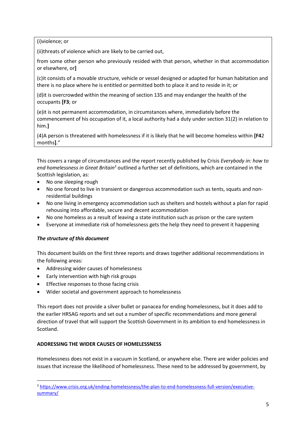[\(i\)violence; or](https://www.legislation.gov.uk/ukpga/1987/26/section/24#commentary-c12770531)

[\(ii\)threats of violence which are likely to be carried out,](https://www.legislation.gov.uk/ukpga/1987/26/section/24#commentary-c12770531)

[from some other person who previously resided with that person, whether in that accommodation](https://www.legislation.gov.uk/ukpga/1987/26/section/24#commentary-c12770531)  [or elsewhere, or](https://www.legislation.gov.uk/ukpga/1987/26/section/24#commentary-c12770531)**]**

(c)it consists of [a movable structure, vehicle or vessel designed or adapted for human habitation and](https://www.legislation.gov.uk/ukpga/1987/26/section/24#commentary-c12770531)  [there is no place where he is entitled or permitted both to place it and to reside in it; or](https://www.legislation.gov.uk/ukpga/1987/26/section/24#commentary-c12770531)

[\(d\)it is overcrowded within the meaning of section 135 and may endanger the health of the](https://www.legislation.gov.uk/ukpga/1987/26/section/24#commentary-c12770531)  [occupants](https://www.legislation.gov.uk/ukpga/1987/26/section/24#commentary-c12770531) **[F3**; or

[\(e\)it is not permanent accommodation, in circumstances where, immediately before the](https://www.legislation.gov.uk/ukpga/1987/26/section/24#commentary-c12770551)  [commencement of his occupation of it, a local authority had a duty under section 31\(2\) in relation to](https://www.legislation.gov.uk/ukpga/1987/26/section/24#commentary-c12770551)  [him.](https://www.legislation.gov.uk/ukpga/1987/26/section/24#commentary-c12770551)**]**

[\(4\)A person is threatened with homelessness if it is likely that he will become homeless within](https://www.legislation.gov.uk/ukpga/1987/26/section/24#commentary-c12770551) **[F4**2 [months](https://www.legislation.gov.uk/ukpga/1987/26/section/24#commentary-c12770551)**]**."

This covers a range of circumstances and the report recently published by Crisis *Everybody in: how to end homelessness in Great Britain<sup>3</sup>* outlined a further set of definitions, which are contained in the Scottish legislation, as:

- No one sleeping rough
- No one forced to live in transient or dangerous accommodation such as tents, squats and nonresidential buildings
- No one living in emergency accommodation such as shelters and hostels without a plan for rapid rehousing into affordable, secure and decent accommodation
- No one homeless as a result of leaving a state institution such as prison or the care system
- Everyone at immediate risk of homelessness gets the help they need to prevent it happening

## *The structure of this document*

1

This document builds on the first three reports and draws together additional recommendations in the following areas:

- Addressing wider causes of homelessness
- Early intervention with high risk groups
- Effective responses to those facing crisis
- Wider societal and government approach to homelessness

This report does not provide a silver bullet or panacea for ending homelessness, but it does add to the earlier HRSAG reports and set out a number of specific recommendations and more general direction of travel that will support the Scottish Government in its ambition to end homelessness in Scotland.

## **ADDRESSING THE WIDER CAUSES OF HOMELESSNESS**

Homelessness does not exist in a vacuum in Scotland, or anywhere else. There are wider policies and issues that increase the likelihood of homelessness. These need to be addressed by government, by

<sup>3</sup> [https://www.crisis.org.uk/ending-homelessness/the-plan-to-end-homelessness-full-version/executive](https://www.crisis.org.uk/ending-homelessness/the-plan-to-end-homelessness-full-version/executive-summary/)[summary/](https://www.crisis.org.uk/ending-homelessness/the-plan-to-end-homelessness-full-version/executive-summary/)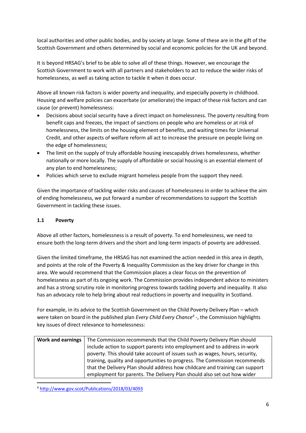local authorities and other public bodies, and by society at large. Some of these are in the gift of the Scottish Government and others determined by social and economic policies for the UK and beyond.

It is beyond HRSAG's brief to be able to solve all of these things. However, we encourage the Scottish Government to work with all partners and stakeholders to act to reduce the wider risks of homelessness, as well as taking action to tackle it when it does occur.

Above all known risk factors is wider poverty and inequality, and especially poverty in childhood. Housing and welfare policies can exacerbate (or ameliorate) the impact of these risk factors and can cause (or prevent) homelessness:

- Decisions about social security have a direct impact on homelessness. The poverty resulting from benefit caps and freezes, the impact of sanctions on people who are homeless or at risk of homelessness, the limits on the housing element of benefits, and waiting times for Universal Credit, and other aspects of welfare reform all act to increase the pressure on people living on the edge of homelessness;
- The limit on the supply of truly affordable housing inescapably drives homelessness, whether nationally or more locally. The supply of affordable or social housing is an essential element of any plan to end homelessness;
- Policies which serve to exclude migrant homeless people from the support they need.

Given the importance of tackling wider risks and causes of homelessness in order to achieve the aim of ending homelessness, we put forward a number of recommendations to support the Scottish Government in tackling these issues.

## **1.1 Poverty**

Above all other factors, homelessness is a result of poverty. To end homelessness, we need to ensure both the long-term drivers and the short and long-term impacts of poverty are addressed.

Given the limited timeframe, the HRSAG has not examined the action needed in this area in depth, and points at the role of the Poverty & Inequality Commission as the key driver for change in this area. We would recommend that the Commission places a clear focus on the prevention of homelessness as part of its ongoing work. The Commission provides independent advice to ministers and has a strong scrutiny role in monitoring progress towards tackling poverty and inequality. It also has an advocacy role to help bring about real reductions in poverty and inequality in Scotland.

For example, in its advice to the Scottish Government on the Child Poverty Delivery Plan – which were taken on board in the published plan *Every Child Every Chance<sup>4</sup>* -, the Commission highlights key issues of direct relevance to homelessness:

| Work and earnings | The Commission recommends that the Child Poverty Delivery Plan should        |
|-------------------|------------------------------------------------------------------------------|
|                   | include action to support parents into employment and to address in-work     |
|                   | poverty. This should take account of issues such as wages, hours, security,  |
|                   | training, quality and opportunities to progress. The Commission recommends   |
|                   | that the Delivery Plan should address how childcare and training can support |
|                   | employment for parents. The Delivery Plan should also set out how wider      |

**<sup>.</sup>** <sup>4</sup> <http://www.gov.scot/Publications/2018/03/4093>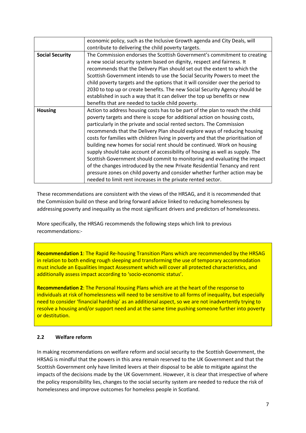|                        | economic policy, such as the Inclusive Growth agenda and City Deals, will         |
|------------------------|-----------------------------------------------------------------------------------|
|                        | contribute to delivering the child poverty targets.                               |
| <b>Social Security</b> | The Commission endorses the Scottish Government's commitment to creating          |
|                        | a new social security system based on dignity, respect and fairness. It           |
|                        | recommends that the Delivery Plan should set out the extent to which the          |
|                        | Scottish Government intends to use the Social Security Powers to meet the         |
|                        | child poverty targets and the options that it will consider over the period to    |
|                        | 2030 to top up or create benefits. The new Social Security Agency should be       |
|                        | established in such a way that it can deliver the top up benefits or new          |
|                        | benefits that are needed to tackle child poverty.                                 |
| <b>Housing</b>         | Action to address housing costs has to be part of the plan to reach the child     |
|                        | poverty targets and there is scope for additional action on housing costs,        |
|                        | particularly in the private and social rented sectors. The Commission             |
|                        | recommends that the Delivery Plan should explore ways of reducing housing         |
|                        | costs for families with children living in poverty and that the prioritisation of |
|                        | building new homes for social rent should be continued. Work on housing           |
|                        | supply should take account of accessibility of housing as well as supply. The     |
|                        | Scottish Government should commit to monitoring and evaluating the impact         |
|                        | of the changes introduced by the new Private Residential Tenancy and rent         |
|                        | pressure zones on child poverty and consider whether further action may be        |
|                        | needed to limit rent increases in the private rented sector.                      |

These recommendations are consistent with the views of the HRSAG, and it is recommended that the Commission build on these and bring forward advice linked to reducing homelessness by addressing poverty and inequality as the most significant drivers and predictors of homelessness.

More specifically, the HRSAG recommends the following steps which link to previous recommendations:-

**Recommendation 1**: The Rapid Re-housing Transition Plans which are recommended by the HRSAG in relation to both ending rough sleeping and transforming the use of temporary accommodation must include an Equalities Impact Assessment which will cover all protected characteristics, and additionally assess impact according to 'socio-economic status'.

**Recommendation 2**: The Personal Housing Plans which are at the heart of the response to individuals at risk of homelessness will need to be sensitive to all forms of inequality, but especially need to consider 'financial hardship' as an additional aspect, so we are not inadvertently trying to resolve a housing and/or support need and at the same time pushing someone further into poverty or destitution.

## **2.2 Welfare reform**

In making recommendations on welfare reform and social security to the Scottish Government, the HRSAG is mindful that the powers in this area remain reserved to the UK Government and that the Scottish Government only have limited levers at their disposal to be able to mitigate against the impacts of the decisions made by the UK Government. However, it is clear that irrespective of where the policy responsibility lies, changes to the social security system are needed to reduce the risk of homelessness and improve outcomes for homeless people in Scotland.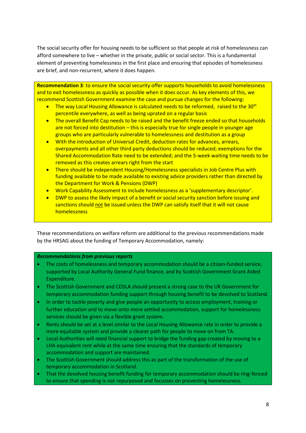The social security offer for housing needs to be sufficient so that people at risk of homelessness can afford somewhere to live – whether in the private, public or social sector. This is a fundamental element of preventing homelessness in the first place and ensuring that episodes of homelessness are brief, and non-recurrent, where it does happen.

**Recommendation 3**: to ensure the social security offer supports households to avoid homelessness and to exit homelessness as quickly as possible when it does occur. As key elements of this, we recommend Scottish Government examine the case and pursue changes for the following:

- The way Local Housing Allowance is calculated needs to be reformed, raised to the 30<sup>th</sup> percentile everywhere, as well as being uprated on a regular basis
- The overall Benefit Cap needs to be raised and the benefit freeze ended so that households are not forced into destitution – this is especially true for single people in younger age groups who are particularly vulnerable to homelessness and destitution as a group
- With the introduction of Universal Credit, deduction rates for advances, arrears, overpayments and all other third party deductions should be reduced; exemptions for the Shared Accommodation Rate need to be extended; and the 5-week waiting time needs to be removed as this creates arrears right from the start
- There should be independent Housing/Homelessness specialists in Job Centre Plus with funding available to be made available to existing advice providers rather than directed by the Department for Work & Pensions (DWP)
- Work Capability Assessment to include homelessness as a 'supplementary descriptor'.
- **•** DWP to assess the likely impact of a benefit or social security sanction before issuing and sanctions should not be issued unless the DWP can satisfy itself that it will not cause homelessness

These recommendations on welfare reform are additional to the previous recommendations made by the HRSAG about the funding of Temporary Accommodation, namely:

#### *Recommendations from previous reports*

- The costs of homelessness and temporary accommodation should be a citizen-funded service, supported by Local Authority General Fund finance, and by Scottish Government Grant Aided Expenditure.
- The Scottish Government and COSLA should present a strong case to the UK Government for temporary accommodation funding support through housing benefit to be devolved to Scotland.
- In order to tackle poverty and give people an opportunity to access employment, training or further education and to move onto more settled accommodation, support for homelessness services should be given via a flexible grant system.
- Rents should be set at a level similar to the Local Housing Allowance rate in order to provide a more equitable system and provide a clearer path for people to move on from TA.
- Local Authorities will need financial support to bridge the funding gap created by moving to a LHA equivalent rent while at the same time ensuring that the standards of temporary accommodation and support are maintained.
- The Scottish Government should address this as part of the transformation of the use of temporary accommodation in Scotland.
- That the devolved housing benefit funding for temporary accommodation should be ring-fenced to ensure that spending is not repurposed and focusses on preventing homelessness.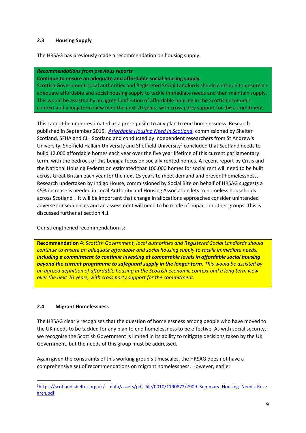#### **2.3 Housing Supply**

The HRSAG has previously made a recommendation on housing supply.

#### *Recommendations from previous reports*

**Continue to ensure an adequate and affordable social housing supply** 

Scottish Government, local authorities and Registered Social Landlords should continue to ensure an adequate affordable and social housing supply to tackle immediate needs and then maintain supply. This would be assisted by an agreed definition of affordable housing in the Scottish economic context and a long term view over the next 20 years, with cross party support for the commitment.

This cannot be under-estimated as a prerequisite to any plan to end homelessness. Research published in September 2015, *[Affordable Housing Need in Scotland](https://scotland.shelter.org.uk/__data/assets/pdf_file/0010/1190872/7909_Summary_Housing_Needs_Research.pdf)*, commissioned by Shelter Scotland, SFHA and CIH Scotland and conducted by independent researchers from St Andrew's University, Sheffield Hallam University and Sheffield University<sup>5</sup> concluded that Scotland needs to build 12,000 affordable homes each year over the five year lifetime of this current parliamentary term, with the bedrock of this being a focus on socially rented homes. A recent report by Crisis and the National Housing Federation estimated that 100,000 homes for social rent will need to be built across Great Britain each year for the next 15 years to meet demand and prevent homelessness.. Research undertaken by Indigo House, commissioned by Social Bite on behalf of HRSAG suggests a 45% increase is needed in Local Authority and Housing Association lets to homeless households across Scotland . It will be important that change in allocations approaches consider unintended adverse consequences and an assessment will need to be made of impact on other groups. This is discussed further at section 4.1

Our strengthened recommendation is:

**Recommendation 4**: *Scottish Government, local authorities and Registered Social Landlords should continue to ensure an adequate affordable and social housing supply to tackle immediate needs, including a commitment to continue investing at comparable levels in affordable social housing beyond the current programme to safeguard supply in the longer term. This would be assisted by an agreed definition of affordable housing in the Scottish economic context and a long term view over the next 20 years, with cross party support for the commitment.*

#### **2.4 Migrant Homelessness**

The HRSAG clearly recognises that the question of homelessness among people who have moved to the UK needs to be tackled for any plan to end homelessness to be effective. As with social security, we recognise the Scottish Government is limited in its ability to mitigate decisions taken by the UK Government, but the needs of this group must be addressed.

Again given the constraints of this working group's timescales, the HRSAG does not have a comprehensive set of recommendations on migrant homelessness. However, earlier

<sup>1</sup> 5https://scotland.shelter.org.uk/ data/assets/pdf file/0010/1190872/7909 Summary Housing Needs Rese [arch.pdf](https://scotland.shelter.org.uk/__data/assets/pdf_file/0010/1190872/7909_Summary_Housing_Needs_Research.pdf)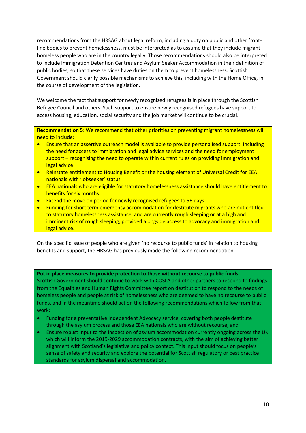recommendations from the HRSAG about legal reform, including a duty on public and other frontline bodies to prevent homelessness, must be interpreted as to assume that they include migrant homeless people who are in the country legally. Those recommendations should also be interpreted to include Immigration Detention Centres and Asylum Seeker Accommodation in their definition of public bodies, so that these services have duties on them to prevent homelessness. Scottish Government should clarify possible mechanisms to achieve this, including with the Home Office, in the course of development of the legislation.

We welcome the fact that support for newly recognised refugees is in place through the Scottish Refugee Council and others. Such support to ensure newly recognised refugees have support to access housing, education, social security and the job market will continue to be crucial.

**Recommendation 5**: We recommend that other priorities on preventing migrant homelessness will need to include:

- Ensure that an assertive outreach model is available to provide personalised support, including the need for access to immigration and legal advice services and the need for employment support – recognising the need to operate within current rules on providing immigration and legal advice
- Reinstate entitlement to Housing Benefit or the housing element of Universal Credit for EEA nationals with 'jobseeker' status
- EEA nationals who are eligible for statutory homelessness assistance should have entitlement to benefits for six months
- **Extend the move on period for newly recognised refugees to 56 days**
- Funding for short term emergency accommodation for destitute migrants who are not entitled to statutory homelessness assistance, and are currently rough sleeping or at a high and imminent risk of rough sleeping, provided alongside access to advocacy and immigration and legal advice.

On the specific issue of people who are given 'no recourse to public funds' in relation to housing benefits and support, the HRSAG has previously made the following recommendation.

**Put in place measures to provide protection to those without recourse to public funds**  Scottish Government should continue to work with COSLA and other partners to respond to findings from the Equalities and Human Rights Committee report on destitution to respond to the needs of homeless people and people at risk of homelessness who are deemed to have no recourse to public funds, and in the meantime should act on the following recommendations which follow from that work:

- Funding for a preventative Independent Advocacy service, covering both people destitute through the asylum process and those EEA nationals who are without recourse; and
- Ensure robust input to the inspection of asylum accommodation currently ongoing across the UK which will inform the 2019-2029 accommodation contracts, with the aim of achieving better alignment with Scotland's legislative and policy context. This input should focus on people's sense of safety and security and explore the potential for Scottish regulatory or best practice standards for asylum dispersal and accommodation.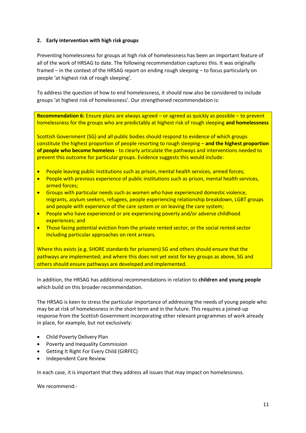## **2. Early intervention with high risk groups**

Preventing homelessness for groups at high risk of homelessness has been an important feature of all of the work of HRSAG to date. The following recommendation captures this. It was originally framed – in the context of the HRSAG report on ending rough sleeping – to focus particularly on people 'at highest risk of rough sleeping'.

To address the question of how to end homelessness, it should now also be considered to include groups 'at highest risk of homelessness'. Our strengthened recommendation is:

**Recommendation 6:** Ensure plans are always agreed – or agreed as quickly as possible – to prevent homelessness for the groups who are predictably at highest risk of rough sleeping **and homelessness**

Scottish Government (SG) and all public bodies should respond to evidence of which groups constitute the highest proportion of people resorting to rough sleeping – **and the highest proportion of people who become homeless** - to clearly articulate the pathways and interventions needed to prevent this outcome for particular groups. Evidence suggests this would include:

- People leaving public institutions such as prison, mental health services, armed forces;
- People with previous experience of public institutions such as prison, mental health services, armed forces;
- Groups with particular needs such as women who have experienced domestic violence, migrants, asylum seekers, refugees, people experiencing relationship breakdown, LGBT groups and people with experience of the care system or on leaving the care system;
- People who have experienced or are experiencing poverty and/or adverse childhood experiences; and
- Those facing potential eviction from the private rented sector, or the social rented sector including particular approaches on rent arrears.

Where this exists (e.g. SHORE standards for prisoners) SG and others should ensure that the pathways are implemented; and where this does not yet exist for key groups as above, SG and others should ensure pathways are developed and implemented.

In addition, the HRSAG has additional recommendations in relation to **children and young people** which build on this broader recommendation.

The HRSAG is keen to stress the particular importance of addressing the needs of young people who may be at risk of homelessness in the short term and in the future. This requires a joined-up response from the Scottish Government incorporating other relevant programmes of work already in place, for example, but not exclusively:

- Child Poverty Delivery Plan
- Poverty and Inequality Commission
- Getting It Right For Every Child (GIRFEC)
- Independent Care Review

In each case, it is important that they address all issues that may impact on homelessness.

We recommend:-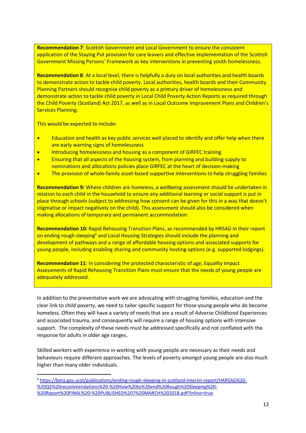**Recommendation 7**: Scottish Government and Local Government to ensure the consistent application of the Staying Put provision for care leavers and effective implementation of the Scottish Government Missing Persons' Framework as key interventions in preventing youth homelessness.

**Recommendation 8**: At a local level, there is helpfully a duty on local authorities and health boards to demonstrate action to tackle child poverty. Local authorities, health boards and their Community Planning Partners should recognise child poverty as a primary driver of homelessness and demonstrate action to tackle child poverty in Local Child Poverty Action Reports as required through the Child Poverty (Scotland) Act 2017, as well as in Local Outcome Improvement Plans and Children's Services Planning.

This would be expected to include:

**.** 

- **Education and health as key public services well placed to identify and offer help when there** are early warning signs of homelessness
- **Introducing homelessness and housing as a component of GIRFEC training**
- **Ensuring that all aspects of the housing system, from planning and building supply to** nominations and allocations policies place GIRFEC at the heart of decision-making
- The provision of whole-family asset-based supportive interventions to help struggling families

**Recommendation 9:** Where children are homeless, a wellbeing assessment should be undertaken in relation to each child in the household to ensure any additional learning or social support is put in place through schools (subject to addressing how consent can be given for this in a way that doesn't stigmatise or impact negatively on the child). This assessment should also be considered when making allocations of temporary and permanent accommodation.

**Recommendation 10:** Rapid Rehousing Transition Plans, as recommended by HRSAG in their report on ending rough sleeping<sup>6</sup> and Local Housing Strategies should include the planning and development of pathways and a range of affordable housing options and associated supports for young people, including enabling sharing and community hosting options (e.g. supported lodgings).

**Recommendation 11**: In considering the protected characteristic of age, Equality Impact Assessments of Rapid Rehousing Transition Plans must ensure that the needs of young people are adequately addressed.

In addition to the preventative work we are advocating with struggling families, education and the clear link to child poverty, we need to tailor specific support for those young people who do become homeless. Often they will have a variety of needs that are a result of Adverse Childhood Experiences and associated trauma, and consequently will require a range of housing options with intensive support. The complexity of these needs must be addressed specifically and not conflated with the response for adults in older age ranges.

Skilled workers with experience in working with young people are necessary as their needs and behaviours require different approaches. The levels of poverty amongst young people are also much higher than many older individuals.

<sup>6</sup> [https://beta.gov.scot/publications/ending-rough-sleeping-in-scotland-interim-report/HARSAG%20-](https://beta.gov.scot/publications/ending-rough-sleeping-in-scotland-interim-report/HARSAG%20-%20Q2%20recommendations%20-%20How%20to%20end%20Rough%20Sleeping%20-%20Report%20FINAL%20-%20PUBLISHED%207%20MARCH%202018.pdf?inline=true) [%20Q2%20recommendations%20-%20How%20to%20end%20Rough%20Sleeping%20-](https://beta.gov.scot/publications/ending-rough-sleeping-in-scotland-interim-report/HARSAG%20-%20Q2%20recommendations%20-%20How%20to%20end%20Rough%20Sleeping%20-%20Report%20FINAL%20-%20PUBLISHED%207%20MARCH%202018.pdf?inline=true) [%20Report%20FINAL%20-%20PUBLISHED%207%20MARCH%202018.pdf?inline=true](https://beta.gov.scot/publications/ending-rough-sleeping-in-scotland-interim-report/HARSAG%20-%20Q2%20recommendations%20-%20How%20to%20end%20Rough%20Sleeping%20-%20Report%20FINAL%20-%20PUBLISHED%207%20MARCH%202018.pdf?inline=true)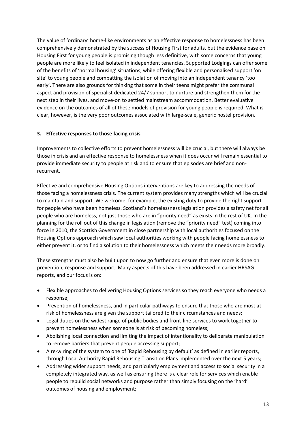The value of 'ordinary' home-like environments as an effective response to homelessness has been comprehensively demonstrated by the success of Housing First for adults, but the evidence base on Housing First for young people is promising though less definitive, with some concerns that young people are more likely to feel isolated in independent tenancies. Supported Lodgings can offer some of the benefits of 'normal housing' situations, while offering flexible and personalised support 'on site' to young people and combatting the isolation of moving into an independent tenancy 'too early'. There are also grounds for thinking that some in their teens might prefer the communal aspect and provision of specialist dedicated 24/7 support to nurture and strengthen them for the next step in their lives, and move-on to settled mainstream accommodation. Better evaluative evidence on the outcomes of all of these models of provision for young people is required. What is clear, however, is the very poor outcomes associated with large-scale, generic hostel provision.

## **3. Effective responses to those facing crisis**

Improvements to collective efforts to prevent homelessness will be crucial, but there will always be those in crisis and an effective response to homelessness when it does occur will remain essential to provide immediate security to people at risk and to ensure that episodes are brief and nonrecurrent.

Effective and comprehensive Housing Options interventions are key to addressing the needs of those facing a homelessness crisis. The current system provides many strengths which will be crucial to maintain and support. We welcome, for example, the existing duty to provide the right support for people who have been homeless. Scotland's homelessness legislation provides a safety net for all people who are homeless, not just those who are in "priority need" as exists in the rest of UK. In the planning for the roll out of this change in legislation (remove the "priority need" test) coming into force in 2010, the Scottish Government in close partnership with local authorities focused on the Housing Options approach which saw local authorities working with people facing homelessness to either prevent it, or to find a solution to their homelessness which meets their needs more broadly.

These strengths must also be built upon to now go further and ensure that even more is done on prevention, response and support. Many aspects of this have been addressed in earlier HRSAG reports, and our focus is on:

- Flexible approaches to delivering Housing Options services so they reach everyone who needs a response;
- Prevention of homelessness, and in particular pathways to ensure that those who are most at risk of homelessness are given the support tailored to their circumstances and needs;
- Legal duties on the widest range of public bodies and front-line services to work together to prevent homelessness when someone is at risk of becoming homeless;
- Abolishing local connection and limiting the impact of intentionality to deliberate manipulation to remove barriers that prevent people accessing support;
- A re-wiring of the system to one of 'Rapid Rehousing by default' as defined in earlier reports, through Local Authority Rapid Rehousing Transition Plans implemented over the next 5 years;
- Addressing wider support needs, and particularly employment and access to social security in a completely integrated way, as well as ensuring there is a clear role for services which enable people to rebuild social networks and purpose rather than simply focusing on the 'hard' outcomes of housing and employment;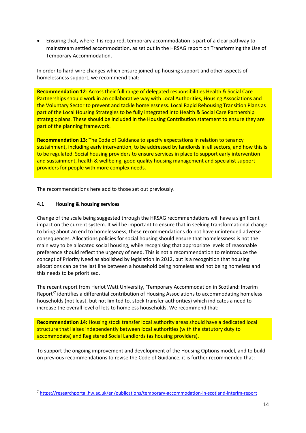Ensuring that, where it is required, temporary accommodation is part of a clear pathway to mainstream settled accommodation, as set out in the HRSAG report on Transforming the Use of Temporary Accommodation.

In order to hard-wire changes which ensure joined-up housing support and other aspects of homelessness support, we recommend that:

**Recommendation 12**: Across their full range of delegated responsibilities Health & Social Care Partnerships should work in an collaborative way with Local Authorities, Housing Associations and the Voluntary Sector to prevent and tackle homelessness. Local Rapid Rehousing Transition Plans as part of the Local Housing Strategies to be fully integrated into Health & Social Care Partnership strategic plans. These should be included in the Housing Contribution statement to ensure they are part of the planning framework.

**Recommendation 13:** The Code of Guidance to specify expectations in relation to tenancy sustainment, including early intervention, to be addressed by landlords in all sectors, and how this is to be regulated. Social housing providers to ensure services in place to support early intervention and sustainment, health & wellbeing, good quality housing management and specialist support providers for people with more complex needs.

The recommendations here add to those set out previously.

#### **4.1 Housing & housing services**

**.** 

Change of the scale being suggested through the HRSAG recommendations will have a significant impact on the current system. It will be important to ensure that in seeking transformational change to bring about an end to homelessness, these recommendations do not have unintended adverse consequences. Allocations policies for social housing should ensure that homelessness is not the main way to be allocated social housing, while recognising that appropriate levels of reasonable preference should reflect the urgency of need. This is not a recommendation to reintroduce the concept of Priority Need as abolished by legislation in 2012, but is a recognition that housing allocations can be the last line between a household being homeless and not being homeless and this needs to be prioritised.

The recent report from Heriot Watt University, 'Temporary Accommodation in Scotland: Interim Report<sup>'7</sup> identifies a differential contribution of Housing Associations to accommodating homeless households (not least, but not limited to, stock transfer authorities) which indicates a need to increase the overall level of lets to homeless households. We recommend that:

**Recommendation 14:** Housing stock transfer local authority areas should have a dedicated local structure that liaises independently between local authorities (with the statutory duty to accommodate) and Registered Social Landlords (as housing providers).

To support the ongoing improvement and development of the Housing Options model, and to build on previous recommendations to revise the Code of Guidance, it is further recommended that:

<sup>7</sup> <https://researchportal.hw.ac.uk/en/publications/temporary-accommodation-in-scotland-interim-report>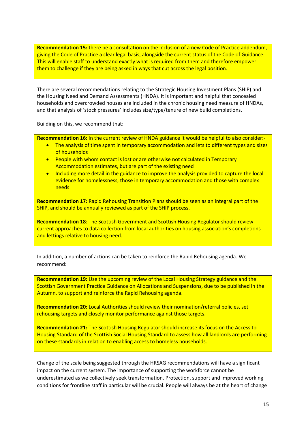**Recommendation 15:** there be a consultation on the inclusion of a new Code of Practice addendum, giving the Code of Practice a clear legal basis, alongside the current status of the Code of Guidance. This will enable staff to understand exactly what is required from them and therefore empower them to challenge if they are being asked in ways that cut across the legal position.

There are several recommendations relating to the Strategic Housing Investment Plans (SHIP) and the Housing Need and Demand Assessments (HNDA). It is important and helpful that concealed households and overcrowded houses are included in the chronic housing need measure of HNDAs, and that analysis of 'stock pressures' includes size/type/tenure of new build completions.

Building on this, we recommend that:

**Recommendation 16**: In the current review of HNDA guidance it would be helpful to also consider:-

- The analysis of time spent in temporary accommodation and lets to different types and sizes of households
- People with whom contact is lost or are otherwise not calculated in Temporary Accommodation estimates, but are part of the existing need
- Including more detail in the guidance to improve the analysis provided to capture the local evidence for homelessness, those in temporary accommodation and those with complex needs

**Recommendation 17**: Rapid Rehousing Transition Plans should be seen as an integral part of the SHIP, and should be annually reviewed as part of the SHIP process.

**Recommendation 18**: The Scottish Government and Scottish Housing Regulator should review current approaches to data collection from local authorities on housing association's completions and lettings relative to housing need.

In addition, a number of actions can be taken to reinforce the Rapid Rehousing agenda. We recommend:

**Recommendation 19:** Use the upcoming review of the Local Housing Strategy guidance and the Scottish Government Practice Guidance on Allocations and Suspensions, due to be published in the Autumn, to support and reinforce the Rapid Rehousing agenda.

**Recommendation 20:** Local Authorities should review their nomination/referral policies, set rehousing targets and closely monitor performance against those targets.

**Recommendation 21:** The Scottish Housing Regulator should increase its focus on the Access to Housing Standard of the Scottish Social Housing Standard to assess how all landlords are performing on these standards in relation to enabling access to homeless households.

Change of the scale being suggested through the HRSAG recommendations will have a significant impact on the current system. The importance of supporting the workforce cannot be underestimated as we collectively seek transformation. Protection, support and improved working conditions for frontline staff in particular will be crucial. People will always be at the heart of change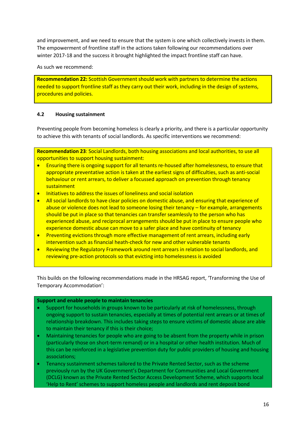and improvement, and we need to ensure that the system is one which collectively invests in them. The empowerment of frontline staff in the actions taken following our recommendations over winter 2017-18 and the success it brought highlighted the impact frontline staff can have.

As such we recommend:

**Recommendation 22:** Scottish Government should work with partners to determine the actions needed to support frontline staff as they carry out their work, including in the design of systems, procedures and policies.

## **4.2 Housing sustainment**

Preventing people from becoming homeless is clearly a priority, and there is a particular opportunity to achieve this with tenants of social landlords. As specific interventions we recommend:

**Recommendation 23**: Social Landlords, both housing associations and local authorities, to use all opportunities to support housing sustainment:

- **•** Ensuring there is ongoing support for all tenants re-housed after homelessness, to ensure that appropriate preventative action is taken at the earliest signs of difficulties, such as anti-social behaviour or rent arrears, to deliver a focussed approach on prevention through tenancy sustainment
- **•** Initiatives to address the issues of loneliness and social isolation
- All social landlords to have clear policies on domestic abuse, and ensuring that experience of abuse or violence does not lead to someone losing their tenancy – for example, arrangements should be put in place so that tenancies can transfer seamlessly to the person who has experienced abuse, and reciprocal arrangements should be put in place to ensure people who experience domestic abuse can move to a safer place and have continuity of tenancy
- Preventing evictions through more effective management of rent arrears, including early intervention such as financial heath-check for new and other vulnerable tenants
- Reviewing the Regulatory Framework around rent arrears in relation to social landlords, and reviewing pre-action protocols so that evicting into homelessness is avoided

This builds on the following recommendations made in the HRSAG report, 'Transforming the Use of Temporary Accommodation':

#### **Support and enable people to maintain tenancies**

- Support for households in groups known to be particularly at risk of homelessness, through ongoing support to sustain tenancies, especially at times of potential rent arrears or at times of relationship breakdown. This includes taking steps to ensure victims of domestic abuse are able to maintain their tenancy if this is their choice;
- Maintaining tenancies for people who are going to be absent from the property while in prison (particularly those on short-term remand) or in a hospital or other health institution. Much of this can be reinforced in a legislative prevention duty for public providers of housing and housing associations;
- Tenancy sustainment schemes tailored to the Private Rented Sector, such as the scheme previously run by the UK Government's Department for Communities and Local Government (DCLG) known as the Private Rented Sector Access Development Scheme, which supports local 'Help to Rent' schemes to support homeless people and landlords and rent deposit bond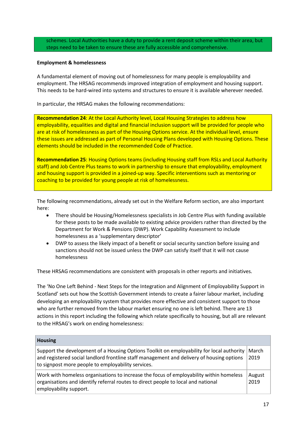schemes. Local Authorities have a duty to provide a rent deposit scheme within their area, but steps need to be taken to ensure these are fully accessible and comprehensive.

#### **Employment & homelessness**

A fundamental element of moving out of homelessness for many people is employability and employment. The HRSAG recommends improved integration of employment and housing support. This needs to be hard-wired into systems and structures to ensure it is available wherever needed.

In particular, the HRSAG makes the following recommendations:

**Recommendation 24**: At the Local Authority level, Local Housing Strategies to address how employability, equalities and digital and financial inclusion support will be provided for people who are at risk of homelessness as part of the Housing Options service. At the individual level, ensure these issues are addressed as part of Personal Housing Plans developed with Housing Options. These elements should be included in the recommended Code of Practice.

**Recommendation 25**: Housing Options teams (including Housing staff from RSLs and Local Authority staff) and Job Centre Plus teams to work in partnership to ensure that employability, employment and housing support is provided in a joined-up way. Specific interventions such as mentoring or coaching to be provided for young people at risk of homelessness.

The following recommendations, already set out in the Welfare Reform section, are also important here:

- There should be Housing/Homelessness specialists in Job Centre Plus with funding available for these posts to be made available to existing advice providers rather than directed by the Department for Work & Pensions (DWP). Work Capability Assessment to include homelessness as a 'supplementary descriptor'
- DWP to assess the likely impact of a benefit or social security sanction before issuing and sanctions should not be issued unless the DWP can satisfy itself that it will not cause homelessness

These HRSAG recommendations are consistent with proposals in other reports and initiatives.

The 'No One Left Behind - Next Steps for the Integration and Alignment of Employability Support in Scotland' sets out how the Scottish Government intends to create a fairer labour market, including developing an employability system that provides more effective and consistent support to those who are further removed from the labour market ensuring no one is left behind. There are 13 actions in this report including the following which relate specifically to housing, but all are relevant to the HRSAG's work on ending homelessness:

| <b>Housing</b>                                                                                                                                                                                                                               |                |
|----------------------------------------------------------------------------------------------------------------------------------------------------------------------------------------------------------------------------------------------|----------------|
| Support the development of a Housing Options Toolkit on employability for local authority<br>and registered social landlord frontline staff management and delivery of housing options<br>to signpost more people to employability services. | March<br>2019  |
| Work with homeless organisations to increase the focus of employability within homeless<br>organisations and identify referral routes to direct people to local and national<br>employability support.                                       | August<br>2019 |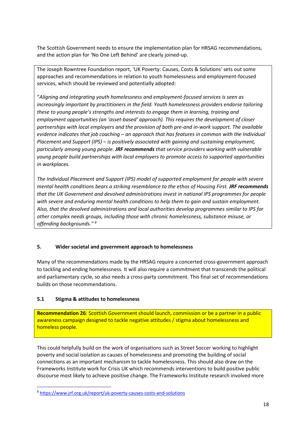The Scottish Government needs to ensure the implementation plan for HRSAG recommendations, and the action plan for 'No One Left Behind' are clearly joined-up.

The Joseph Rowntree Foundation report, 'UK Poverty: Causes, Costs & Solutions' sets out some approaches and recommendations in relation to youth homelessness and employment-focused services, which should be reviewed and potentially adopted:

"*Aligning and integrating youth homelessness and employment-focused services is seen as increasingly important by practitioners in the field. Youth homelessness providers endorse tailoring these to young people's strengths and interests to engage them in learning, training and employment opportunities (an 'asset-based' approach). This requires the development of closer partnerships with local employers and the provision of both pre-and in-work support. The available evidence indicates that job coaching – an approach that has features in common with the Individual Placement and Support (IPS) – is positively associated with gaining and sustaining employment, particularly among young people. JRF recommends that service providers working with vulnerable young people build partnerships with local employers to promote access to supported opportunities in workplaces.* 

*The Individual Placement and Support (IPS) model of supported employment for people with severe mental health conditions bears a striking resemblance to the ethos of Housing First. JRF recommends that the UK Government and devolved administrations invest in national IPS programmes for people with severe and enduring mental health conditions to help them to gain and sustain employment. Also, that the devolved administrations and local authorities develop programmes similar to IPS for other complex needs groups, including those with chronic homelessness, substance misuse, or offending backgrounds." <sup>8</sup>*

## **5. Wider societal and government approach to homelessness**

Many of the recommendations made by the HRSAG require a concerted cross-government approach to tackling and ending homelessness. It will also require a commitment that transcends the political and parliamentary cycle, so also needs a cross-party commitment. This final set of recommendations builds on those recommendations.

## **5.1 Stigma & attitudes to homelessness**

**.** 

**Recommendation 26**: Scottish Government should launch, commission or be a partner in a public awareness campaign designed to tackle negative attitudes / stigma about homelessness and homeless people.

This could helpfully build on the work of organisations such as Street Soccer working to highlight poverty and social isolation as causes of homelessness and promoting the building of social connections as an important mechanism to tackle homelessness. This should also draw on the Frameworks Institute work for Crisis UK which recommends interventions to build positive public discourse most likely to achieve positive change. The Frameworks Institute research involved more

<sup>8</sup> <https://www.jrf.org.uk/report/uk-poverty-causes-costs-and-solutions>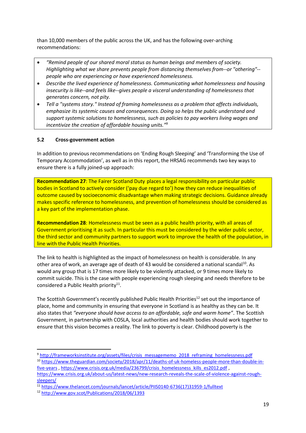than 10,000 members of the public across the UK, and has the following over-arching recommendations:

- *"Remind people of our shared moral status as human beings and members of society. Highlighting what we share prevents people from distancing themselves from--or "othering"- people who are experiencing or have experienced homelessness.*
- *Describe the lived experience of homelessness. Communicating what homelessness and housing insecurity is like--and feels like--gives people a visceral understanding of homelessness that generates concern, not pity.*
- *Tell a "systems story." Instead of framing homelessness as a problem that affects individuals, emphasize its systemic causes and consequences. Doing so helps the public understand and support systemic solutions to homelessness, such as policies to pay workers living wages and incentivize the creation of affordable housing units." 9*

## **5.2 Cross-government action**

In addition to previous recommendations on 'Ending Rough Sleeping' and 'Transforming the Use of Temporary Accommodation', as well as in this report, the HRSAG recommends two key ways to ensure there is a fully joined-up approach:

**Recommendation 27**: The Fairer Scotland Duty places a legal responsibility on particular public bodies in Scotland to actively consider ('pay due regard to') how they can reduce inequalities of outcome caused by socioeconomic disadvantage when making strategic decisions. Guidance already makes specific reference to homelessness, and prevention of homelessness should be considered as a key part of the implementation phase.

**Recommendation 28**: Homelessness must be seen as a public health priority, with all areas of Government prioritising it as such. In particular this must be considered by the wider public sector, the third sector and community partners to support work to improve the health of the population, in line with the Public Health Priorities.

The link to health is highlighted as the impact of homelessness on health is considerable. In any other area of work, an average age of death of 43 would be considered a national scandal<sup>10</sup>. As would any group that is 17 times more likely to be violently attacked, or 9 times more likely to commit suicide. This is the case with people experiencing rough sleeping and needs therefore to be considered a Public Health priority<sup>11</sup>.

The Scottish Government's recently published Public Health Priorities<sup>12</sup> set out the importance of place, home and community in ensuring that everyone in Scotland is as healthy as they can be. It also states that *"everyone should have access to an affordable, safe and warm home"*. The Scottish Government, in partnership with COSLA, local authorities and health bodies should work together to ensure that this vision becomes a reality. The link to poverty is clear. Childhood poverty is the

**.** 

<sup>&</sup>lt;sup>9</sup> [http://frameworksinstitute.org/assets/files/crisis\\_messagememo\\_2018\\_reframing\\_homelessness.pdf](http://frameworksinstitute.org/assets/files/crisis_messagememo_2018_reframing_homelessness.pdf) <sup>10</sup> [https://www.theguardian.com/society/2018/apr/11/deaths-of-uk-homeless-people-more-than-double-in-](https://www.theguardian.com/society/2018/apr/11/deaths-of-uk-homeless-people-more-than-double-in-five-years)

[five-years](https://www.theguardian.com/society/2018/apr/11/deaths-of-uk-homeless-people-more-than-double-in-five-years) [, https://www.crisis.org.uk/media/236799/crisis\\_homelessness\\_kills\\_es2012.pdf](https://www.crisis.org.uk/media/236799/crisis_homelessness_kills_es2012.pdf) , [https://www.crisis.org.uk/about-us/latest-news/new-research-reveals-the-scale-of-violence-against-rough-](https://www.crisis.org.uk/about-us/latest-news/new-research-reveals-the-scale-of-violence-against-rough-sleepers/)

[sleepers/](https://www.crisis.org.uk/about-us/latest-news/new-research-reveals-the-scale-of-violence-against-rough-sleepers/)

<sup>11</sup> [https://www.thelancet.com/journals/lancet/article/PIIS0140-6736\(17\)31959-1/fulltext](https://www.thelancet.com/journals/lancet/article/PIIS0140-6736(17)31959-1/fulltext)

<sup>12</sup> <http://www.gov.scot/Publications/2018/06/1393>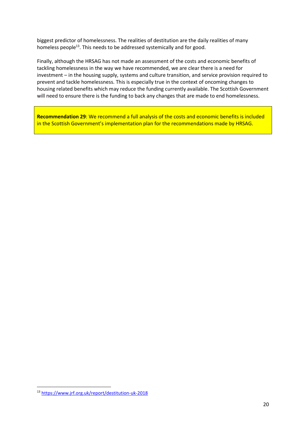biggest predictor of homelessness. The realities of destitution are the daily realities of many homeless people<sup>13</sup>. This needs to be addressed systemically and for good.

Finally, although the HRSAG has not made an assessment of the costs and economic benefits of tackling homelessness in the way we have recommended, we are clear there is a need for investment – in the housing supply, systems and culture transition, and service provision required to prevent and tackle homelessness. This is especially true in the context of oncoming changes to housing related benefits which may reduce the funding currently available. The Scottish Government will need to ensure there is the funding to back any changes that are made to end homelessness.

**Recommendation 29**: We recommend a full analysis of the costs and economic benefits is included in the Scottish Government's implementation plan for the recommendations made by HRSAG.

**.** 

<sup>13</sup> <https://www.jrf.org.uk/report/destitution-uk-2018>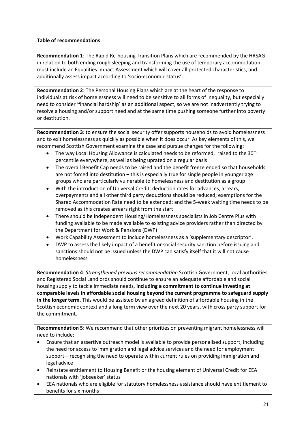## **Table of recommendations**

**Recommendation 1**: The Rapid Re-housing Transition Plans which are recommended by the HRSAG in relation to both ending rough sleeping and transforming the use of temporary accommodation must include an Equalities Impact Assessment which will cover all protected characteristics, and additionally assess impact according to 'socio-economic status'.

**Recommendation 2**: The Personal Housing Plans which are at the heart of the response to individuals at risk of homelessness will need to be sensitive to all forms of inequality, but especially need to consider 'financial hardship' as an additional aspect, so we are not inadvertently trying to resolve a housing and/or support need and at the same time pushing someone further into poverty or destitution.

**Recommendation 3**: to ensure the social security offer supports households to avoid homelessness and to exit homelessness as quickly as possible when it does occur. As key elements of this, we recommend Scottish Government examine the case and pursue changes for the following:

- The way Local Housing Allowance is calculated needs to be reformed, raised to the 30<sup>th</sup> percentile everywhere, as well as being uprated on a regular basis
- The overall Benefit Cap needs to be raised and the benefit freeze ended so that households are not forced into destitution – this is especially true for single people in younger age groups who are particularly vulnerable to homelessness and destitution as a group
- With the introduction of Universal Credit, deduction rates for advances, arrears, overpayments and all other third party deductions should be reduced; exemptions for the Shared Accommodation Rate need to be extended; and the 5-week waiting time needs to be removed as this creates arrears right from the start
- There should be independent Housing/Homelessness specialists in Job Centre Plus with funding available to be made available to existing advice providers rather than directed by the Department for Work & Pensions (DWP)
- Work Capability Assessment to include homelessness as a 'supplementary descriptor'.
- DWP to assess the likely impact of a benefit or social security sanction before issuing and sanctions should not be issued unless the DWP can satisfy itself that it will not cause homelessness

**Recommendation 4**: *Strengthened previous recommendation* Scottish Government, local authorities and Registered Social Landlords should continue to ensure an adequate affordable and social housing supply to tackle immediate needs, **including a commitment to continue investing at comparable levels in affordable social housing beyond the current programme to safeguard supply in the longer term.** This would be assisted by an agreed definition of affordable housing in the Scottish economic context and a long term view over the next 20 years, with cross party support for the commitment.

**Recommendation 5**: We recommend that other priorities on preventing migrant homelessness will need to include:

- Ensure that an assertive outreach model is available to provide personalised support, including the need for access to immigration and legal advice services and the need for employment support – recognising the need to operate within current rules on providing immigration and legal advice
- Reinstate entitlement to Housing Benefit or the housing element of Universal Credit for EEA nationals with 'jobseeker' status
- EEA nationals who are eligible for statutory homelessness assistance should have entitlement to benefits for six months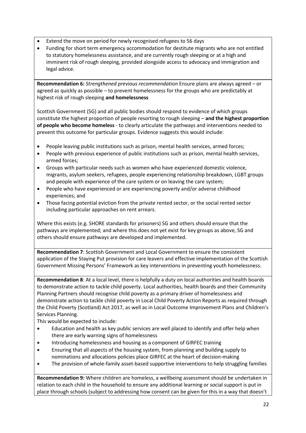- Extend the move on period for newly recognised refugees to 56 days
- Funding for short term emergency accommodation for destitute migrants who are not entitled to statutory homelessness assistance, and are currently rough sleeping or at a high and imminent risk of rough sleeping, provided alongside access to advocacy and immigration and legal advice.

**Recommendation 6:** *Strengthened previous recommendation* Ensure plans are always agreed – or agreed as quickly as possible – to prevent homelessness for the groups who are predictably at highest risk of rough sleeping **and homelessness**

Scottish Government (SG) and all public bodies should respond to evidence of which groups constitute the highest proportion of people resorting to rough sleeping – **and the highest proportion of people who become homeless** - to clearly articulate the pathways and interventions needed to prevent this outcome for particular groups. Evidence suggests this would include:

- People leaving public institutions such as prison, mental health services, armed forces;
- People with previous experience of public institutions such as prison, mental health services, armed forces;
- Groups with particular needs such as women who have experienced domestic violence, migrants, asylum seekers, refugees, people experiencing relationship breakdown, LGBT groups and people with experience of the care system or on leaving the care system;
- People who have experienced or are experiencing poverty and/or adverse childhood experiences; and
- Those facing potential eviction from the private rented sector, or the social rented sector including particular approaches on rent arrears.

Where this exists (e.g. SHORE standards for prisoners) SG and others should ensure that the pathways are implemented; and where this does not yet exist for key groups as above, SG and others should ensure pathways are developed and implemented.

**Recommendation 7**: Scottish Government and Local Government to ensure the consistent application of the Staying Put provision for care leavers and effective implementation of the Scottish Government Missing Persons' Framework as key interventions in preventing youth homelessness.

**Recommendation 8**: At a local level, there is helpfully a duty on local authorities and health boards to demonstrate action to tackle child poverty. Local authorities, health boards and their Community Planning Partners should recognise child poverty as a primary driver of homelessness and demonstrate action to tackle child poverty in Local Child Poverty Action Reports as required through the Child Poverty (Scotland) Act 2017, as well as in Local Outcome Improvement Plans and Children's Services Planning.

This would be expected to include:

- Education and health as key public services are well placed to identify and offer help when there are early warning signs of homelessness
- Introducing homelessness and housing as a component of GIRFEC training
- Ensuring that all aspects of the housing system, from planning and building supply to nominations and allocations policies place GIRFEC at the heart of decision-making
- The provision of whole-family asset-based supportive interventions to help struggling families

**Recommendation 9:** Where children are homeless, a wellbeing assessment should be undertaken in relation to each child in the household to ensure any additional learning or social support is put in place through schools (subject to addressing how consent can be given for this in a way that doesn't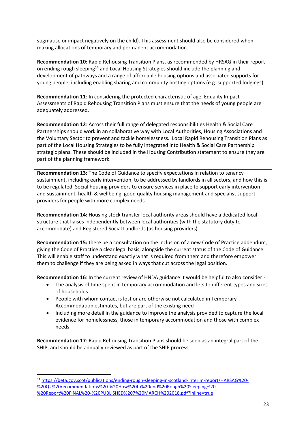stigmatise or impact negatively on the child). This assessment should also be considered when making allocations of temporary and permanent accommodation.

**Recommendation 10:** Rapid Rehousing Transition Plans, as recommended by HRSAG in their report on ending rough sleeping<sup>14</sup> and Local Housing Strategies should include the planning and development of pathways and a range of affordable housing options and associated supports for young people, including enabling sharing and community hosting options (e.g. supported lodgings).

**Recommendation 11**: In considering the protected characteristic of age, Equality Impact Assessments of Rapid Rehousing Transition Plans must ensure that the needs of young people are adequately addressed.

**Recommendation 12**: Across their full range of delegated responsibilities Health & Social Care Partnerships should work in an collaborative way with Local Authorities, Housing Associations and the Voluntary Sector to prevent and tackle homelessness. Local Rapid Rehousing Transition Plans as part of the Local Housing Strategies to be fully integrated into Health & Social Care Partnership strategic plans. These should be included in the Housing Contribution statement to ensure they are part of the planning framework.

**Recommendation 13:** The Code of Guidance to specify expectations in relation to tenancy sustainment, including early intervention, to be addressed by landlords in all sectors, and how this is to be regulated. Social housing providers to ensure services in place to support early intervention and sustainment, health & wellbeing, good quality housing management and specialist support providers for people with more complex needs.

**Recommendation 14:** Housing stock transfer local authority areas should have a dedicated local structure that liaises independently between local authorities (with the statutory duty to accommodate) and Registered Social Landlords (as housing providers).

**Recommendation 15:** there be a consultation on the inclusion of a new Code of Practice addendum, giving the Code of Practice a clear legal basis, alongside the current status of the Code of Guidance. This will enable staff to understand exactly what is required from them and therefore empower them to challenge if they are being asked in ways that cut across the legal position.

**Recommendation 16**: In the current review of HNDA guidance it would be helpful to also consider:-

- The analysis of time spent in temporary accommodation and lets to different types and sizes of households
- People with whom contact is lost or are otherwise not calculated in Temporary Accommodation estimates, but are part of the existing need
- Including more detail in the guidance to improve the analysis provided to capture the local evidence for homelessness, those in temporary accommodation and those with complex needs

**Recommendation 17**: Rapid Rehousing Transition Plans should be seen as an integral part of the SHIP, and should be annually reviewed as part of the SHIP process.

**.** 

<sup>14</sup> [https://beta.gov.scot/publications/ending-rough-sleeping-in-scotland-interim-report/HARSAG%20-](https://beta.gov.scot/publications/ending-rough-sleeping-in-scotland-interim-report/HARSAG%20-%20Q2%20recommendations%20-%20How%20to%20end%20Rough%20Sleeping%20-%20Report%20FINAL%20-%20PUBLISHED%207%20MARCH%202018.pdf?inline=true) [%20Q2%20recommendations%20-%20How%20to%20end%20Rough%20Sleeping%20-](https://beta.gov.scot/publications/ending-rough-sleeping-in-scotland-interim-report/HARSAG%20-%20Q2%20recommendations%20-%20How%20to%20end%20Rough%20Sleeping%20-%20Report%20FINAL%20-%20PUBLISHED%207%20MARCH%202018.pdf?inline=true) [%20Report%20FINAL%20-%20PUBLISHED%207%20MARCH%202018.pdf?inline=true](https://beta.gov.scot/publications/ending-rough-sleeping-in-scotland-interim-report/HARSAG%20-%20Q2%20recommendations%20-%20How%20to%20end%20Rough%20Sleeping%20-%20Report%20FINAL%20-%20PUBLISHED%207%20MARCH%202018.pdf?inline=true)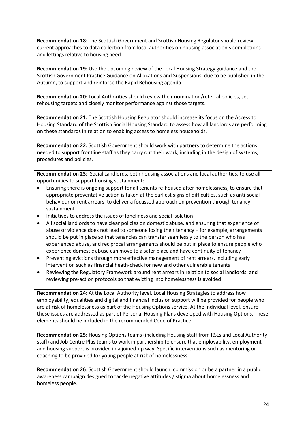**Recommendation 18**: The Scottish Government and Scottish Housing Regulator should review current approaches to data collection from local authorities on housing association's completions and lettings relative to housing need

**Recommendation 19:** Use the upcoming review of the Local Housing Strategy guidance and the Scottish Government Practice Guidance on Allocations and Suspensions, due to be published in the Autumn, to support and reinforce the Rapid Rehousing agenda.

**Recommendation 20:** Local Authorities should review their nomination/referral policies, set rehousing targets and closely monitor performance against those targets.

**Recommendation 21:** The Scottish Housing Regulator should increase its focus on the Access to Housing Standard of the Scottish Social Housing Standard to assess how all landlords are performing on these standards in relation to enabling access to homeless households.

**Recommendation 22:** Scottish Government should work with partners to determine the actions needed to support frontline staff as they carry out their work, including in the design of systems, procedures and policies.

**Recommendation 23**: Social Landlords, both housing associations and local authorities, to use all opportunities to support housing sustainment:

- Ensuring there is ongoing support for all tenants re-housed after homelessness, to ensure that appropriate preventative action is taken at the earliest signs of difficulties, such as anti-social behaviour or rent arrears, to deliver a focussed approach on prevention through tenancy sustainment
- Initiatives to address the issues of loneliness and social isolation
- All social landlords to have clear policies on domestic abuse, and ensuring that experience of abuse or violence does not lead to someone losing their tenancy – for example, arrangements should be put in place so that tenancies can transfer seamlessly to the person who has experienced abuse, and reciprocal arrangements should be put in place to ensure people who experience domestic abuse can move to a safer place and have continuity of tenancy
- Preventing evictions through more effective management of rent arrears, including early intervention such as financial heath-check for new and other vulnerable tenants
- Reviewing the Regulatory Framework around rent arrears in relation to social landlords, and reviewing pre-action protocols so that evicting into homelessness is avoided

**Recommendation 24**: At the Local Authority level, Local Housing Strategies to address how employability, equalities and digital and financial inclusion support will be provided for people who are at risk of homelessness as part of the Housing Options service. At the individual level, ensure these issues are addressed as part of Personal Housing Plans developed with Housing Options. These elements should be included in the recommended Code of Practice.

**Recommendation 25**: Housing Options teams (including Housing staff from RSLs and Local Authority staff) and Job Centre Plus teams to work in partnership to ensure that employability, employment and housing support is provided in a joined-up way. Specific interventions such as mentoring or coaching to be provided for young people at risk of homelessness.

**Recommendation 26**: Scottish Government should launch, commission or be a partner in a public awareness campaign designed to tackle negative attitudes / stigma about homelessness and homeless people.